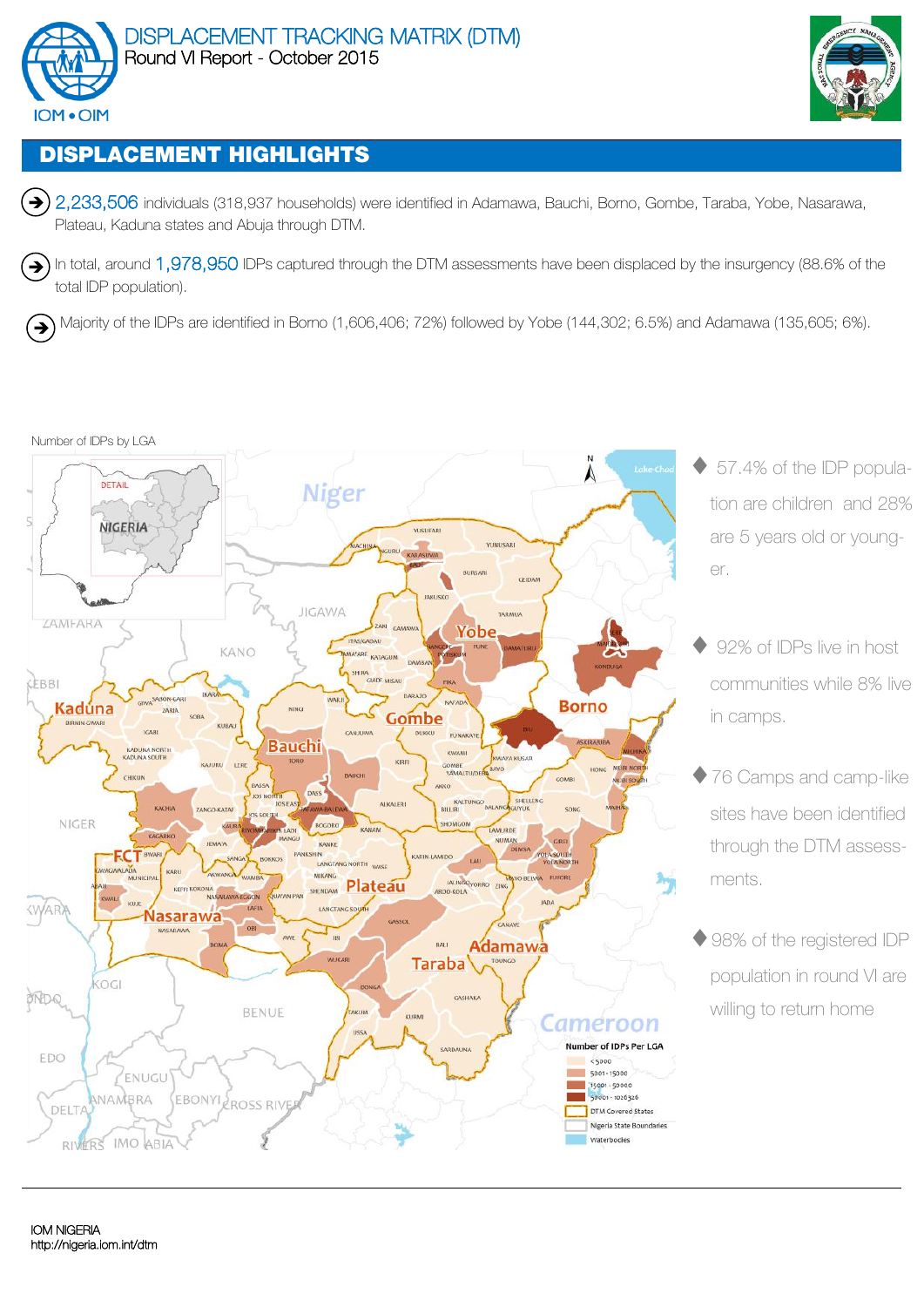



# **DISPLACEMENT HIGHLIGHTS**

→ 2,233,506 individuals (318,937 households) were identified in Adamawa, Bauchi, Borno, Gombe, Taraba, Yobe, Nasarawa, Plateau, Kaduna states and Abuja through DTM.

In total, around 1,978,950 IDPs captured through the DTM assessments have been displaced by the insurgency (88.6% of the total IDP population).  $\left( \biguplus \right)$ 

Majority of the IDPs are identified in Borno (1,606,406; 72%) followed by Yobe (144,302; 6.5%) and Adamawa (135,605; 6%). '→

### Number of IDPs by LGA



- ◆ 57.4% of the IDP population are children and 28% are 5 years old or younger.
- 92% of IDPs live in host communities while 8% live in camps.
- ◆ 76 Camps and camp-like sites have been identified through the DTM assessments.
- ◆ 98% of the registered IDP population in round VI are willing to return home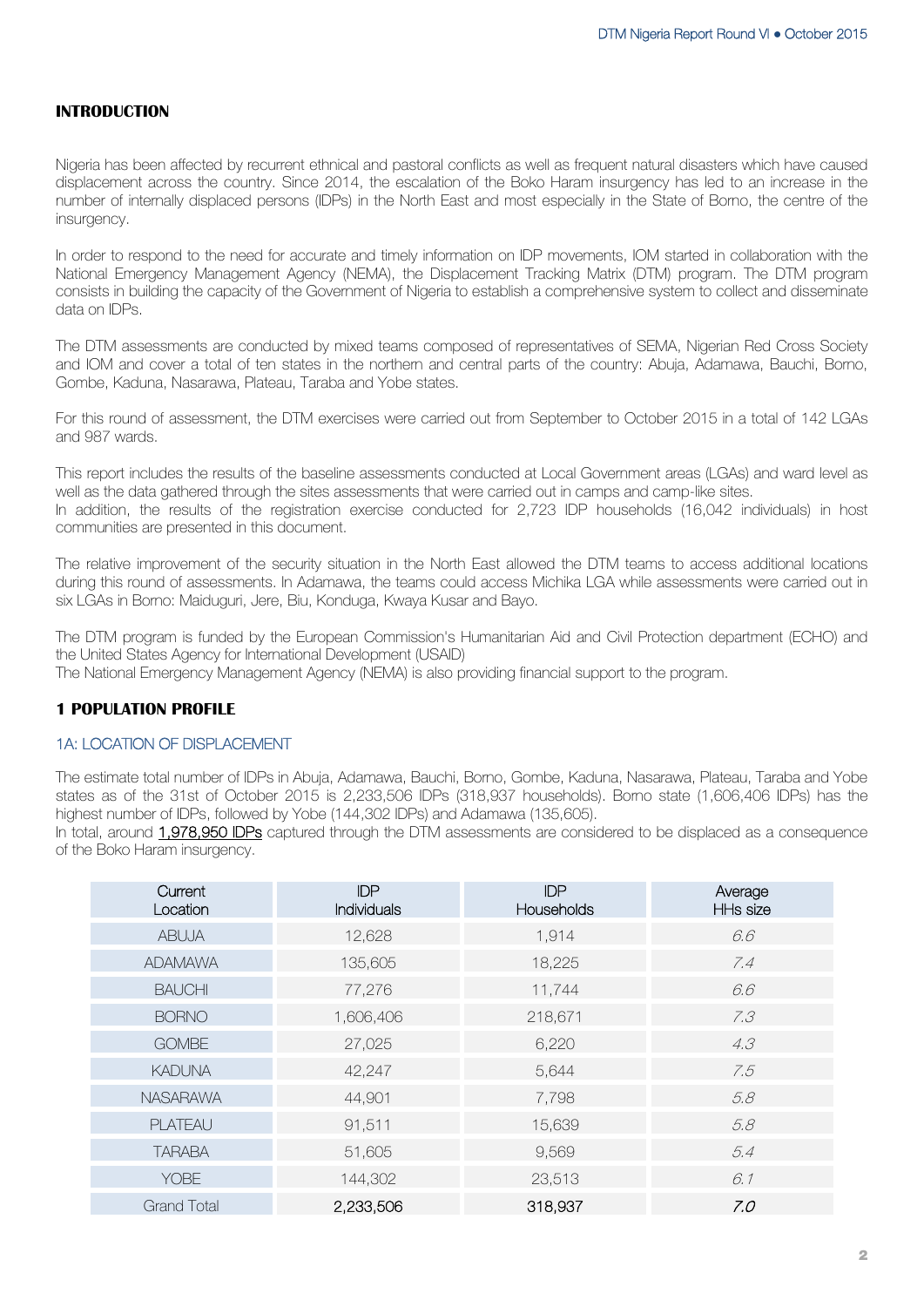### **INTRODUCTION**

Nigeria has been affected by recurrent ethnical and pastoral conflicts as well as frequent natural disasters which have caused displacement across the country. Since 2014, the escalation of the Boko Haram insurgency has led to an increase in the number of internally displaced persons (IDPs) in the North East and most especially in the State of Borno, the centre of the insurgency.

In order to respond to the need for accurate and timely information on IDP movements, IOM started in collaboration with the National Emergency Management Agency (NEMA), the Displacement Tracking Matrix (DTM) program. The DTM program consists in building the capacity of the Government of Nigeria to establish a comprehensive system to collect and disseminate data on IDPs.

The DTM assessments are conducted by mixed teams composed of representatives of SEMA, Nigerian Red Cross Society and IOM and cover a total of ten states in the northern and central parts of the country: Abuja, Adamawa, Bauchi, Borno, Gombe, Kaduna, Nasarawa, Plateau, Taraba and Yobe states.

For this round of assessment, the DTM exercises were carried out from September to October 2015 in a total of 142 LGAs and 987 wards.

This report includes the results of the baseline assessments conducted at Local Government areas (LGAs) and ward level as well as the data gathered through the sites assessments that were carried out in camps and camp-like sites. In addition, the results of the registration exercise conducted for 2,723 IDP households (16,042 individuals) in host communities are presented in this document.

The relative improvement of the security situation in the North East allowed the DTM teams to access additional locations during this round of assessments. In Adamawa, the teams could access Michika LGA while assessments were carried out in six LGAs in Borno: Maiduguri, Jere, Biu, Konduga, Kwaya Kusar and Bayo.

The DTM program is funded by the European Commission's Humanitarian Aid and Civil Protection department (ECHO) and the United States Agency for International Development (USAID)

The National Emergency Management Agency (NEMA) is also providing financial support to the program.

## **1 POPULATION PROFILE**

## 1A: LOCATION OF DISPLACEMENT

The estimate total number of IDPs in Abuja, Adamawa, Bauchi, Borno, Gombe, Kaduna, Nasarawa, Plateau, Taraba and Yobe states as of the 31st of October 2015 is 2,233,506 IDPs (318,937 households). Borno state (1,606,406 IDPs) has the highest number of IDPs, followed by Yobe (144,302 IDPs) and Adamawa (135,605).

In total, around 1,978,950 IDPs captured through the DTM assessments are considered to be displaced as a consequence of the Boko Haram insurgency.

| Current<br>Location | <b>IDP</b><br><b>Individuals</b> | <b>IDP</b><br><b>Households</b> | Average<br>HHs size |
|---------------------|----------------------------------|---------------------------------|---------------------|
| <b>ABUJA</b>        | 12,628                           | 1,914                           | 6.6                 |
| <b>ADAMAWA</b>      | 135,605                          | 18,225                          | 7.4                 |
| <b>BAUCHI</b>       | 77,276                           | 11,744                          | 6.6                 |
| <b>BORNO</b>        | 1,606,406                        | 218,671                         | 7.3                 |
| <b>GOMBE</b>        | 27,025                           | 6,220                           | 4.3                 |
| <b>KADUNA</b>       | 42,247                           | 5,644                           | 7.5                 |
| <b>NASARAWA</b>     | 44,901                           | 7,798                           | 5.8                 |
| <b>PLATEAU</b>      | 91,511                           | 15,639                          | 5.8                 |
| <b>TARABA</b>       | 51,605                           | 9,569                           | 5.4                 |
| <b>YOBE</b>         | 144,302                          | 23,513                          | 6.1                 |
| <b>Grand Total</b>  | 2,233,506                        | 318,937                         | 7.0                 |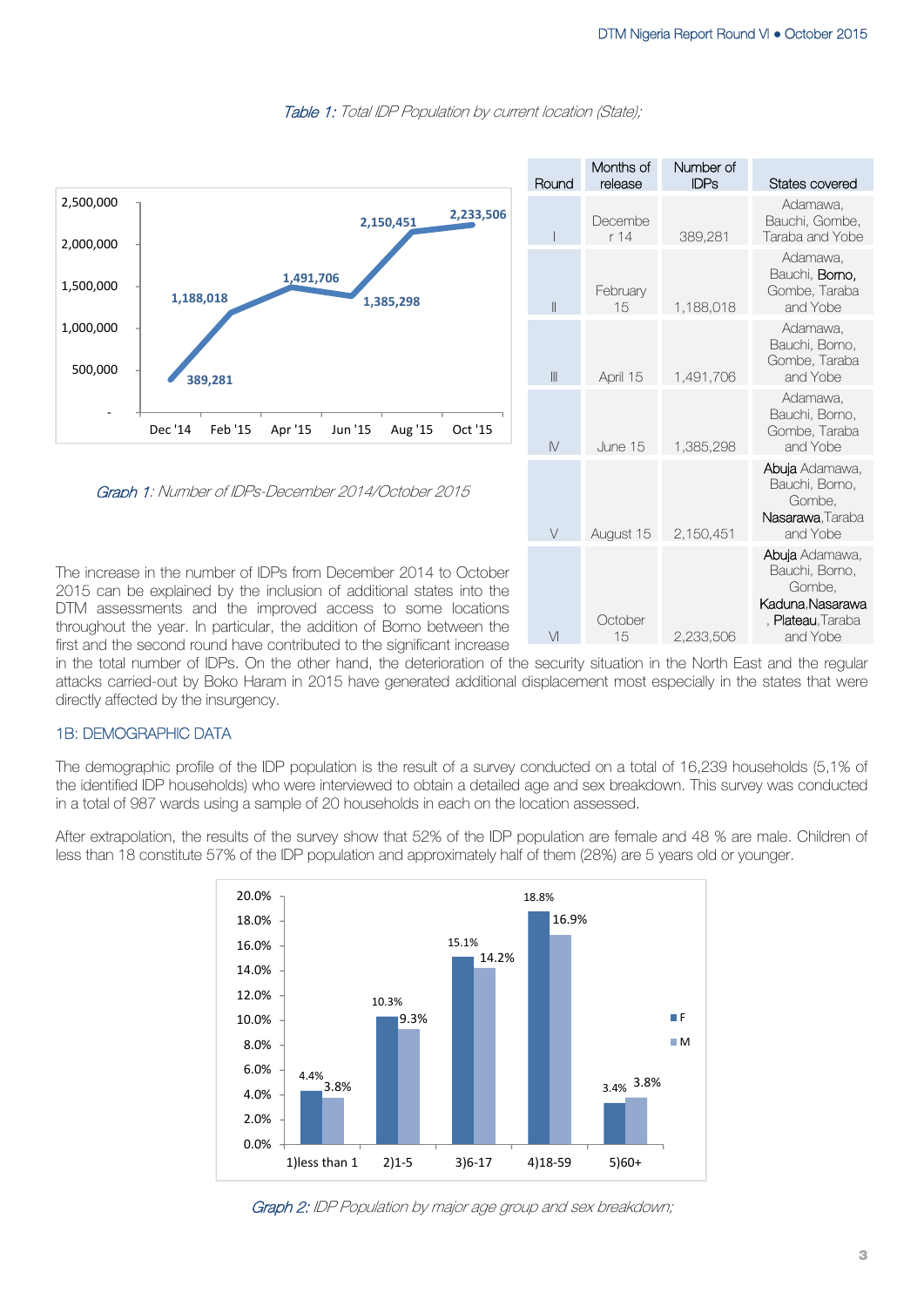

Table 1: Total IDP Population by current location (State);

first and the second round have contributed to the significant increase

in the total number of IDPs. On the other hand, the deterioration of the security situation in the North East and the regular attacks carried-out by Boko Haram in 2015 have generated additional displacement most especially in the states that were directly affected by the insurgency.

## 1B: DEMOGRAPHIC DATA

The demographic profile of the IDP population is the result of a survey conducted on a total of 16,239 households (5,1% of the identified IDP households) who were interviewed to obtain a detailed age and sex breakdown. This survey was conducted in a total of 987 wards using a sample of 20 households in each on the location assessed.

After extrapolation, the results of the survey show that 52% of the IDP population are female and 48 % are male. Children of less than 18 constitute 57% of the IDP population and approximately half of them (28%) are 5 years old or younger.



Graph 2: IDP Population by major age group and sex breakdown;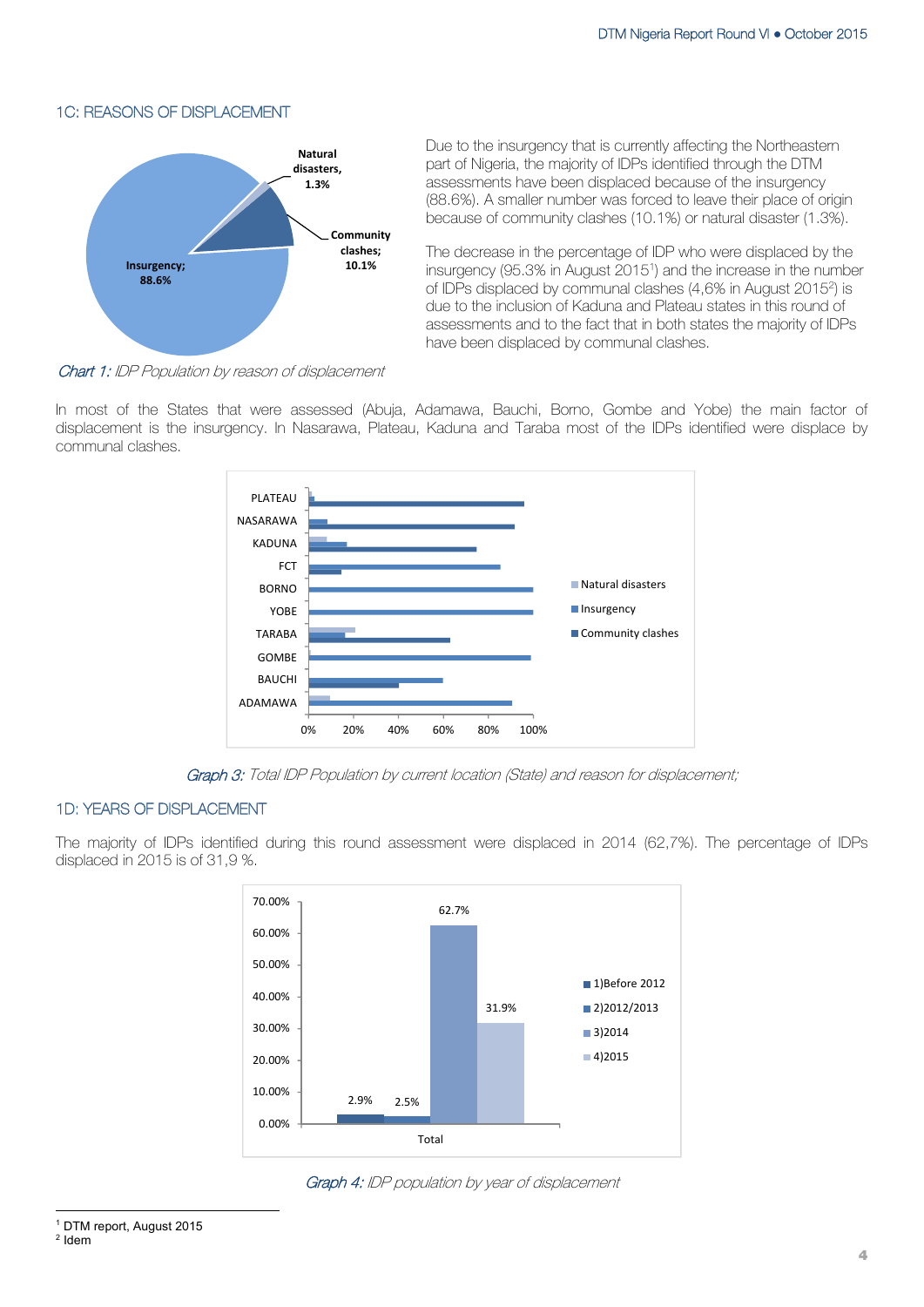## 1C: REASONS OF DISPLACEMENT



Due to the insurgency that is currently affecting the Northeastern part of Nigeria, the majority of IDPs identified through the DTM assessments have been displaced because of the insurgency (88.6%). A smaller number was forced to leave their place of origin because of community clashes (10.1%) or natural disaster (1.3%).

The decrease in the percentage of IDP who were displaced by the insurgency (95.3% in August 20151) and the increase in the number of IDPs displaced by communal clashes (4,6% in August 20152) is due to the inclusion of Kaduna and Plateau states in this round of assessments and to the fact that in both states the majority of IDPs have been displaced by communal clashes.

Chart 1: IDP Population by reason of displacement

In most of the States that were assessed (Abuja, Adamawa, Bauchi, Borno, Gombe and Yobe) the main factor of displacement is the insurgency. In Nasarawa, Plateau, Kaduna and Taraba most of the IDPs identified were displace by communal clashes.



Graph 3: Total IDP Population by current location (State) and reason for displacement;

## 1D: YEARS OF DISPLACEMENT

The majority of IDPs identified during this round assessment were displaced in 2014 (62,7%). The percentage of IDPs displaced in 2015 is of 31,9 %.



Graph 4: IDP population by year of displacement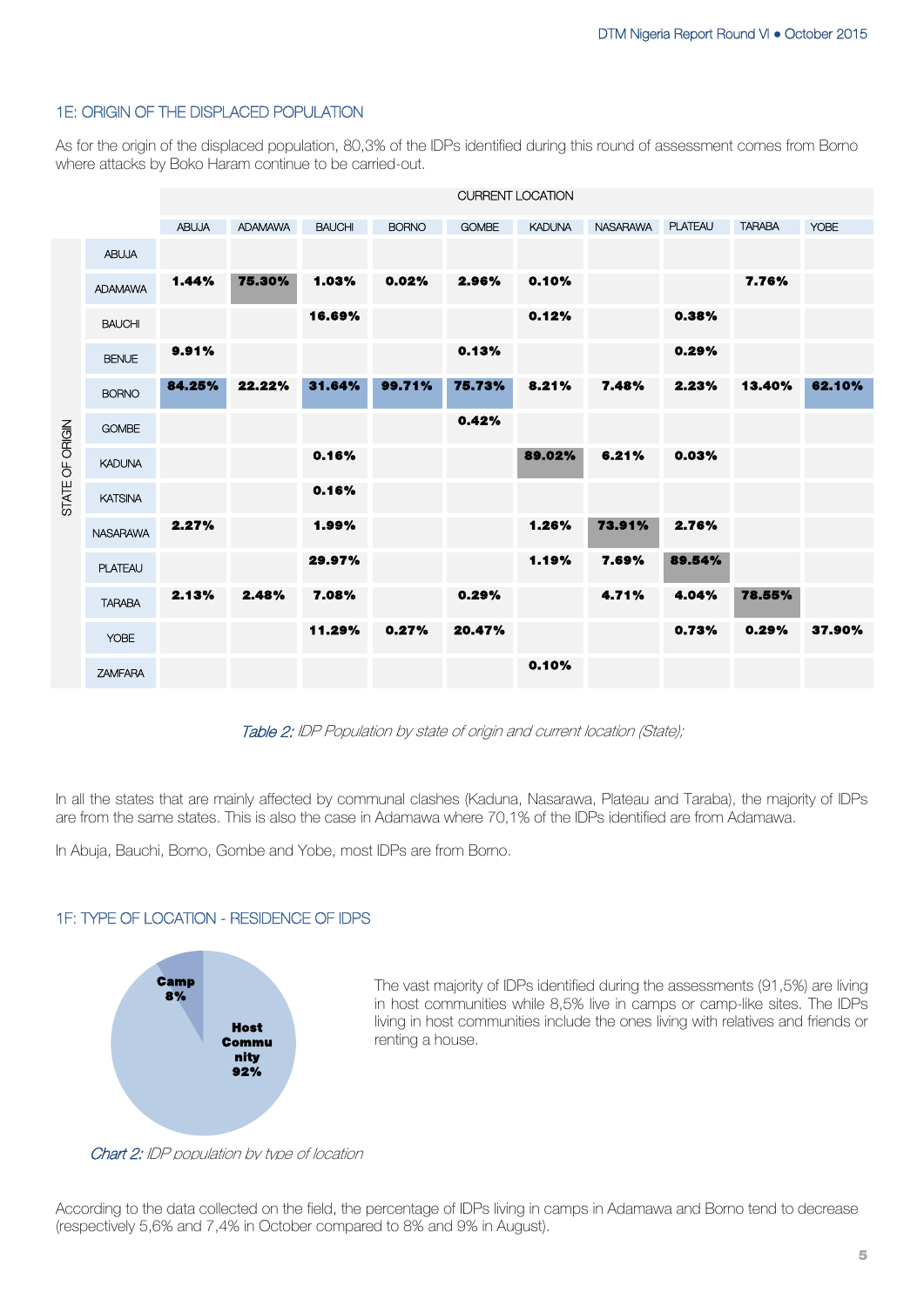## 1E: ORIGIN OF THE DISPLACED POPULATION

As for the origin of the displaced population, 80,3% of the IDPs identified during this round of assessment comes from Borno where attacks by Boko Haram continue to be carried-out.

|                 |                 |              |                |               |              |              | <b>CURRENT LOCATION</b> |                 |                |               |             |
|-----------------|-----------------|--------------|----------------|---------------|--------------|--------------|-------------------------|-----------------|----------------|---------------|-------------|
|                 |                 | <b>ABUJA</b> | <b>ADAMAWA</b> | <b>BAUCHI</b> | <b>BORNO</b> | <b>GOMBE</b> | <b>KADUNA</b>           | <b>NASARAWA</b> | <b>PLATEAU</b> | <b>TARABA</b> | <b>YOBE</b> |
| STATE OF ORIGIN | <b>ABUJA</b>    |              |                |               |              |              |                         |                 |                |               |             |
|                 | <b>ADAMAWA</b>  | 1.44%        | 75.30%         | 1.03%         | 0.02%        | 2.96%        | 0.10%                   |                 |                | 7.76%         |             |
|                 | <b>BAUCHI</b>   |              |                | 16.69%        |              |              | 0.12%                   |                 | 0.38%          |               |             |
|                 | <b>BENUE</b>    | 9.91%        |                |               |              | 0.13%        |                         |                 | 0.29%          |               |             |
|                 | <b>BORNO</b>    | 84.25%       | 22.22%         | 31.64%        | 99.71%       | 75.73%       | 8.21%                   | 7.48%           | 2.23%          | 13.40%        | 62.10%      |
|                 | <b>GOMBE</b>    |              |                |               |              | 0.42%        |                         |                 |                |               |             |
|                 | <b>KADUNA</b>   |              |                | 0.16%         |              |              | 89.02%                  | 6.21%           | 0.03%          |               |             |
|                 | <b>KATSINA</b>  |              |                | 0.16%         |              |              |                         |                 |                |               |             |
|                 | <b>NASARAWA</b> | 2.27%        |                | 1.99%         |              |              | 1.26%                   | 73.91%          | 2.76%          |               |             |
|                 | <b>PLATEAU</b>  |              |                | 29.97%        |              |              | 1.19%                   | 7.69%           | 89.54%         |               |             |
|                 | <b>TARABA</b>   | 2.13%        | 2.48%          | 7.08%         |              | 0.29%        |                         | 4.71%           | 4.04%          | 78.55%        |             |
|                 | <b>YOBE</b>     |              |                | 11.29%        | 0.27%        | 20.47%       |                         |                 | 0.73%          | 0.29%         | 37.90%      |
|                 | <b>ZAMFARA</b>  |              |                |               |              |              | 0.10%                   |                 |                |               |             |

Table 2: IDP Population by state of origin and current location (State);

In all the states that are mainly affected by communal clashes (Kaduna, Nasarawa, Plateau and Taraba), the majority of IDPs are from the same states. This is also the case in Adamawa where 70,1% of the IDPs identified are from Adamawa.

In Abuja, Bauchi, Borno, Gombe and Yobe, most IDPs are from Borno.

## 1F: TYPE OF LOCATION - RESIDENCE OF IDPS



The vast majority of IDPs identified during the assessments (91,5%) are living in host communities while 8,5% live in camps or camp-like sites. The IDPs living in host communities include the ones living with relatives and friends or renting a house.

Chart 2: IDP population by type of location

According to the data collected on the field, the percentage of IDPs living in camps in Adamawa and Borno tend to decrease (respectively 5,6% and 7,4% in October compared to 8% and 9% in August).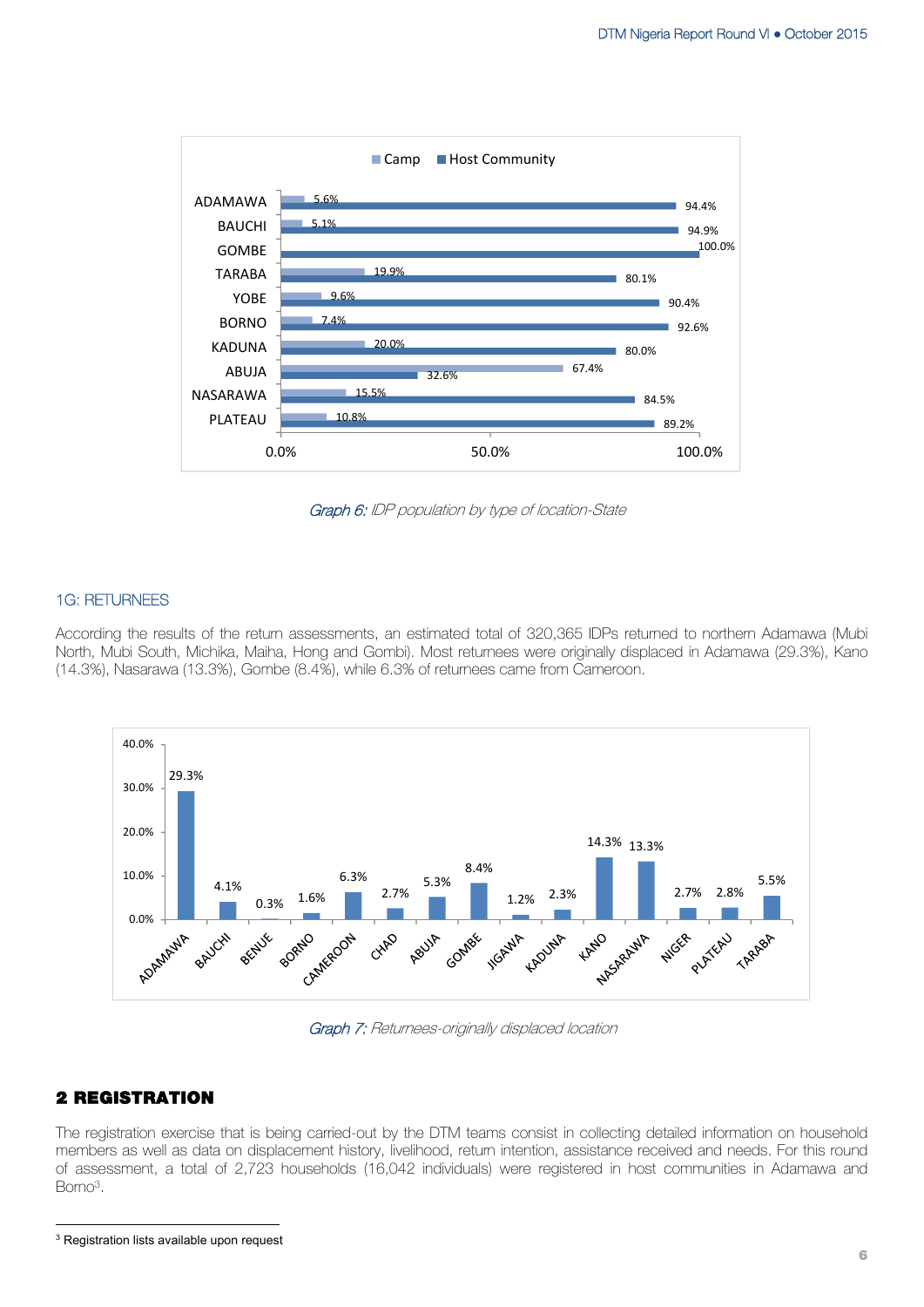

Graph 6: IDP population by type of location-State

### 1G: RETURNEES

According the results of the return assessments, an estimated total of 320,365 IDPs returned to northern Adamawa (Mubi North, Mubi South, Michika, Maiha, Hong and Gombi). Most returnees were originally displaced in Adamawa (29.3%), Kano (14.3%), Nasarawa (13.3%), Gombe (8.4%), while 6.3% of returnees came from Cameroon.



Graph 7: Returnees-originally displaced location

## **2 REGISTRATION**

The registration exercise that is being carried-out by the DTM teams consist in collecting detailed information on household members as well as data on displacement history, livelihood, return intention, assistance received and needs. For this round of assessment, a total of 2,723 households (16,042 individuals) were registered in host communities in Adamawa and Borno3.

 <sup>3</sup> Registration lists available upon request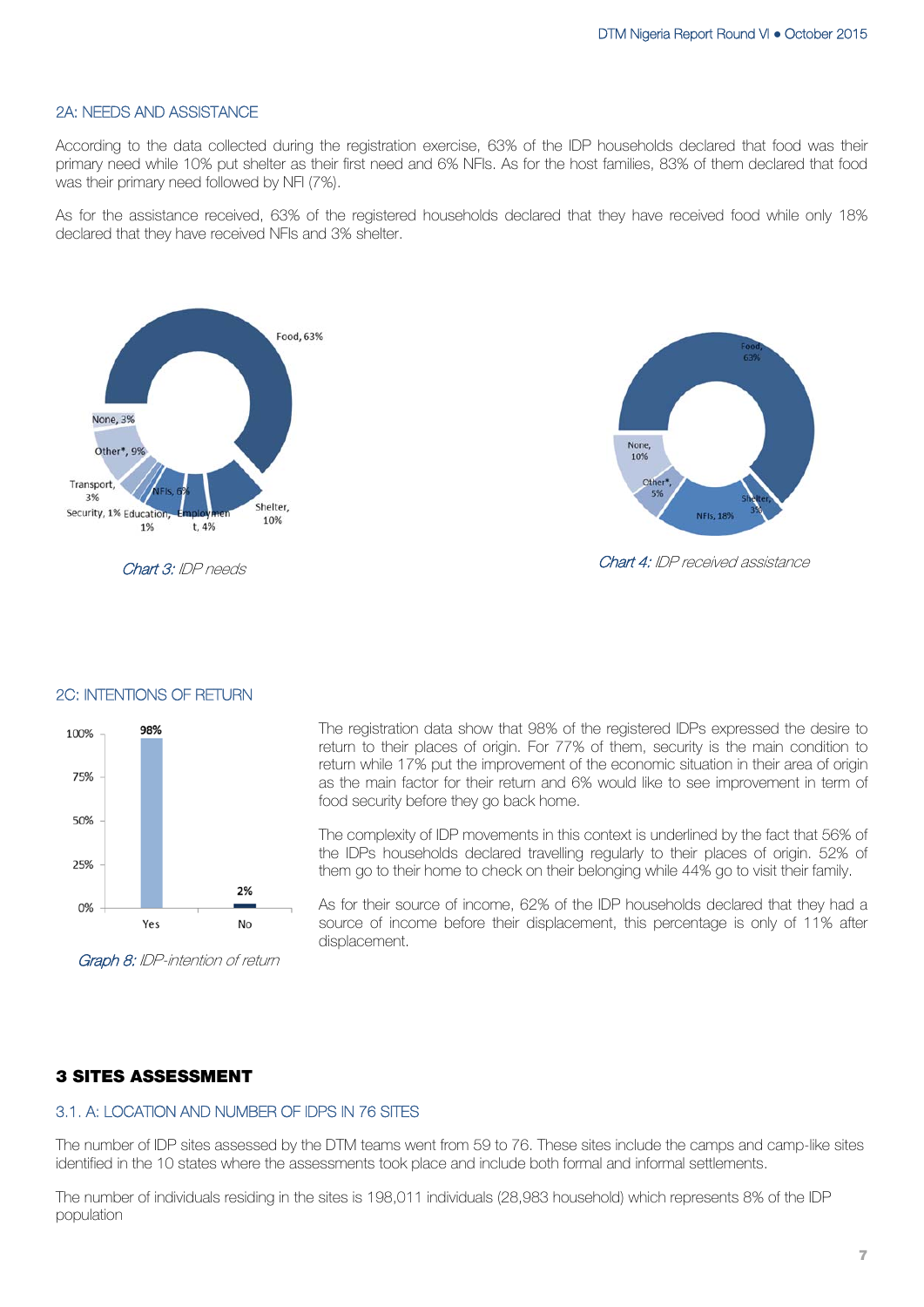Chart 4: IDP received assistance

**NFIs. 189** 

None,

 $10%$ Other

## 2A: NEEDS AND ASSISTANCE

According to the data collected during the registration exercise, 63% of the IDP households declared that food was their primary need while 10% put shelter as their first need and 6% NFIs. As for the host families, 83% of them declared that food was their primary need followed by NFI (7%).

As for the assistance received, 63% of the registered households declared that they have received food while only 18% declared that they have received NFIs and 3% shelter.



Chart 3: IDP needs



#### 2C: INTENTIONS OF RETURN

Graph 8: IDP-intention of return

The registration data show that 98% of the registered IDPs expressed the desire to return to their places of origin. For 77% of them, security is the main condition to return while 17% put the improvement of the economic situation in their area of origin as the main factor for their return and 6% would like to see improvement in term of food security before they go back home.

The complexity of IDP movements in this context is underlined by the fact that 56% of the IDPs households declared travelling regularly to their places of origin. 52% of them go to their home to check on their belonging while 44% go to visit their family.

As for their source of income, 62% of the IDP households declared that they had a source of income before their displacement, this percentage is only of 11% after displacement.

## **3 SITES ASSESSMENT**

## 3.1. A: LOCATION AND NUMBER OF IDPS IN 76 SITES

The number of IDP sites assessed by the DTM teams went from 59 to 76. These sites include the camps and camp-like sites identified in the 10 states where the assessments took place and include both formal and informal settlements.

The number of individuals residing in the sites is 198,011 individuals (28,983 household) which represents 8% of the IDP population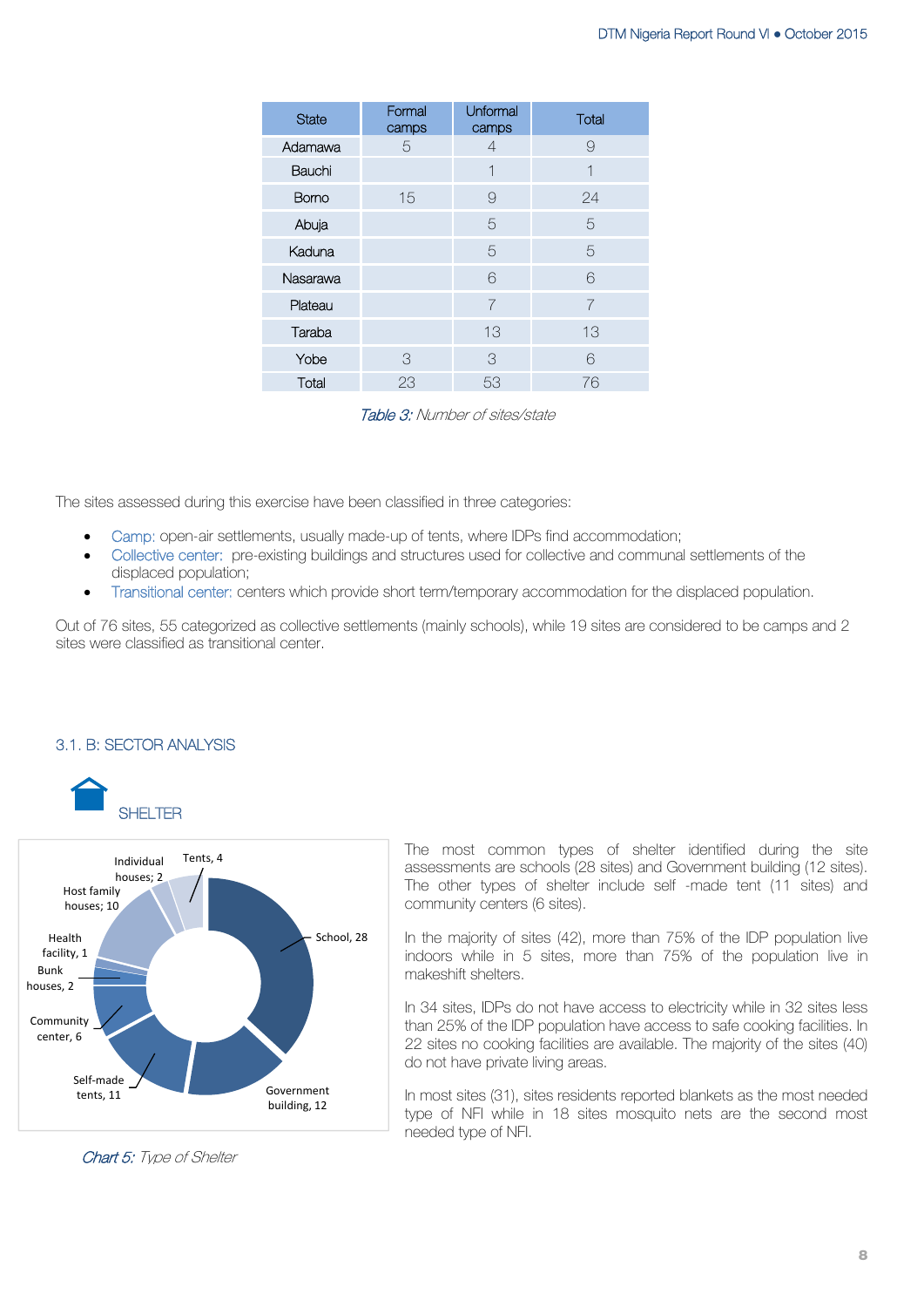| <b>State</b> | Formal<br>camps | Unformal<br>camps | Total |
|--------------|-----------------|-------------------|-------|
| Adamawa      | 5               | 4                 | 9     |
| Bauchi       |                 | 1                 | 1     |
| <b>Bomo</b>  | 15              | 9                 | 24    |
| Abuja        |                 | 5                 | 5     |
| Kaduna       |                 | 5                 | 5     |
| Nasarawa     |                 | 6                 | 6     |
| Plateau      |                 | 7                 | 7     |
| Taraba       |                 | 13                | 13    |
| Yobe         | 3               | 3                 | 6     |
| Total        | 23              | 53                | 76    |

Table 3: Number of sites/state

The sites assessed during this exercise have been classified in three categories:

- Camp: open-air settlements, usually made-up of tents, where IDPs find accommodation;
- Collective center: pre-existing buildings and structures used for collective and communal settlements of the displaced population;
- Transitional center: centers which provide short term/temporary accommodation for the displaced population.

Out of 76 sites, 55 categorized as collective settlements (mainly schools), while 19 sites are considered to be camps and 2 sites were classified as transitional center.

#### 3.1. B: SECTOR ANALYSIS





The most common types of shelter identified during the site assessments are schools (28 sites) and Government building (12 sites). The other types of shelter include self -made tent (11 sites) and community centers (6 sites).

In the majority of sites (42), more than 75% of the IDP population live indoors while in 5 sites, more than 75% of the population live in makeshift shelters.

In 34 sites, IDPs do not have access to electricity while in 32 sites less than 25% of the IDP population have access to safe cooking facilities. In 22 sites no cooking facilities are available. The majority of the sites (40) do not have private living areas.

In most sites (31), sites residents reported blankets as the most needed type of NFI while in 18 sites mosquito nets are the second most needed type of NFI.

Chart 5: Type of Shelter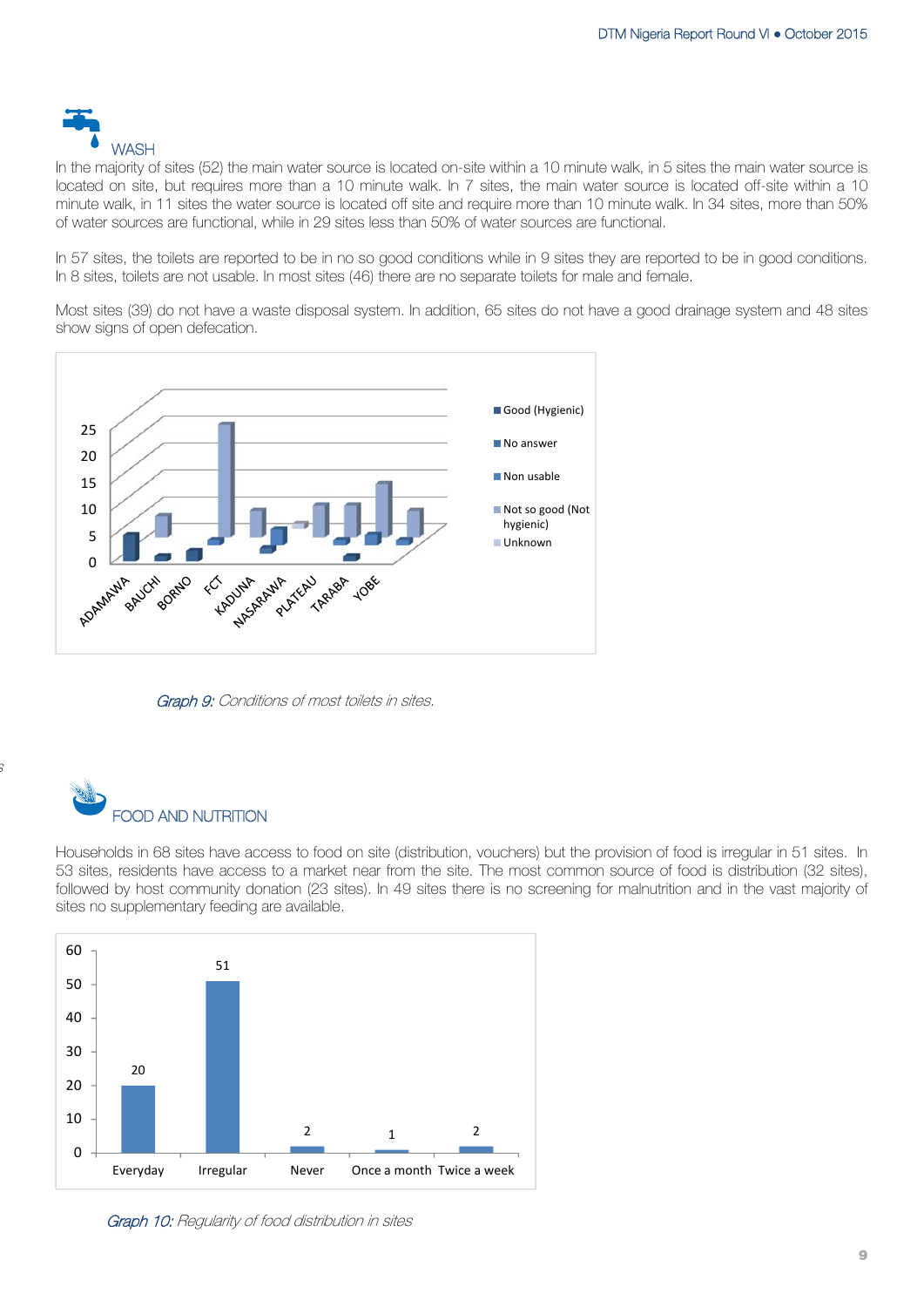

In the majority of sites (52) the main water source is located on-site within a 10 minute walk, in 5 sites the main water source is located on site, but requires more than a 10 minute walk. In 7 sites, the main water source is located off-site within a 10 minute walk, in 11 sites the water source is located off site and require more than 10 minute walk. In 34 sites, more than 50% of water sources are functional, while in 29 sites less than 50% of water sources are functional.

In 57 sites, the toilets are reported to be in no so good conditions while in 9 sites they are reported to be in good conditions. In 8 sites, toilets are not usable. In most sites (46) there are no separate toilets for male and female.

Most sites (39) do not have a waste disposal system. In addition, 65 sites do not have a good drainage system and 48 sites show signs of open defecation.



Graph 9: Conditions of most toilets in sites.



s

Households in 68 sites have access to food on site (distribution, vouchers) but the provision of food is irregular in 51 sites. In 53 sites, residents have access to a market near from the site. The most common source of food is distribution (32 sites), followed by host community donation (23 sites). In 49 sites there is no screening for malnutrition and in the vast majority of sites no supplementary feeding are available.



Graph 10: Regularity of food distribution in sites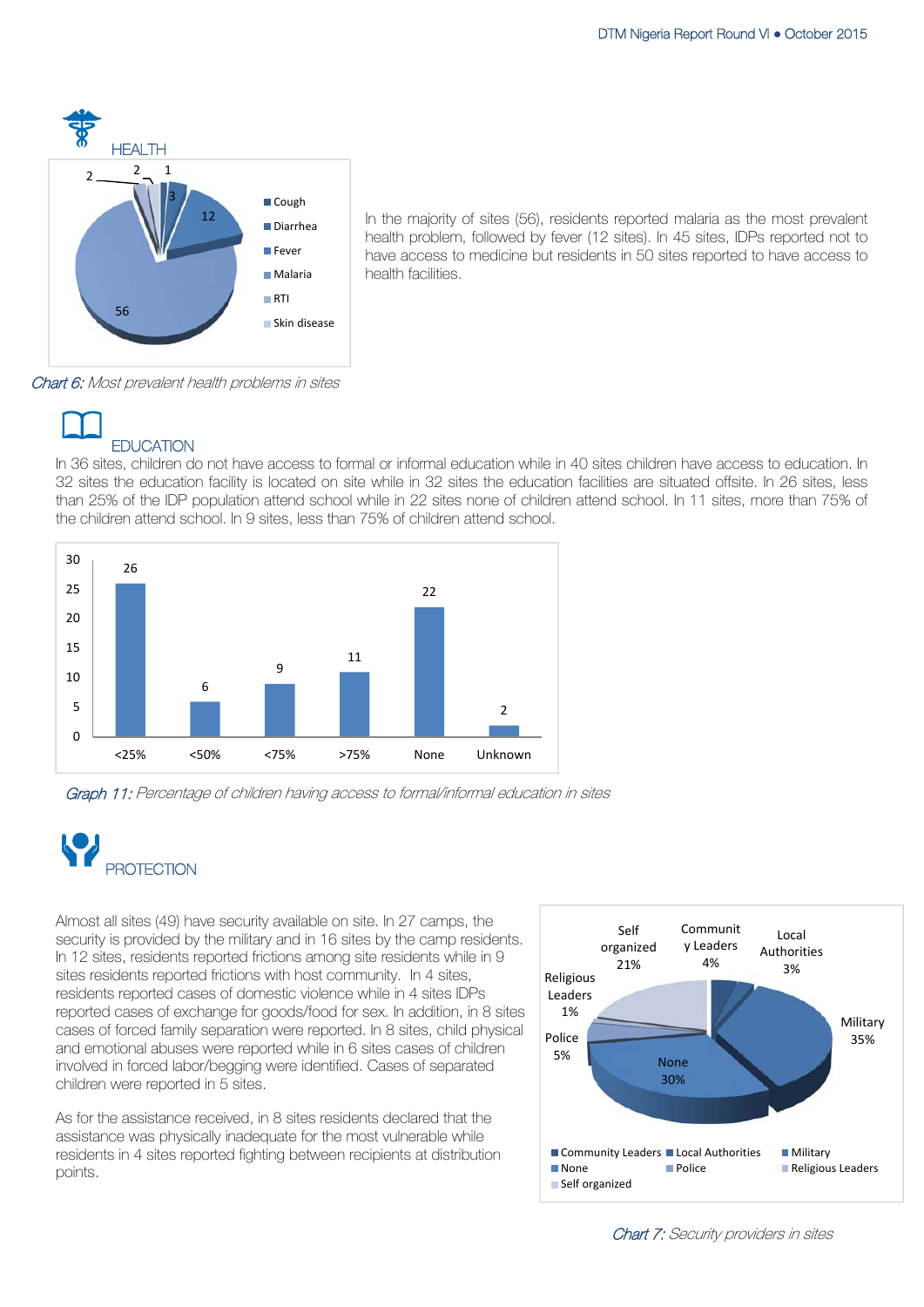

In the majority of sites (56), residents reported malaria as the most prevalent health problem, followed by fever (12 sites). In 45 sites, IDPs reported not to have access to medicine but residents in 50 sites reported to have access to health facilities.

Chart 6: Most prevalent health problems in sites



In 36 sites, children do not have access to formal or informal education while in 40 sites children have access to education. In 32 sites the education facility is located on site while in 32 sites the education facilities are situated offsite. In 26 sites, less than 25% of the IDP population attend school while in 22 sites none of children attend school. In 11 sites, more than 75% of the children attend school. In 9 sites, less than 75% of children attend school.



Graph 11: Percentage of children having access to formal/informal education in sites



Almost all sites (49) have security available on site. In 27 camps, the security is provided by the military and in 16 sites by the camp residents. In 12 sites, residents reported frictions among site residents while in 9 sites residents reported frictions with host community. In 4 sites, residents reported cases of domestic violence while in 4 sites IDPs reported cases of exchange for goods/food for sex. In addition, in 8 sites cases of forced family separation were reported. In 8 sites, child physical and emotional abuses were reported while in 6 sites cases of children involved in forced labor/begging were identified. Cases of separated children were reported in 5 sites.

As for the assistance received, in 8 sites residents declared that the assistance was physically inadequate for the most vulnerable while residents in 4 sites reported fighting between recipients at distribution points.



Chart 7: Security providers in sites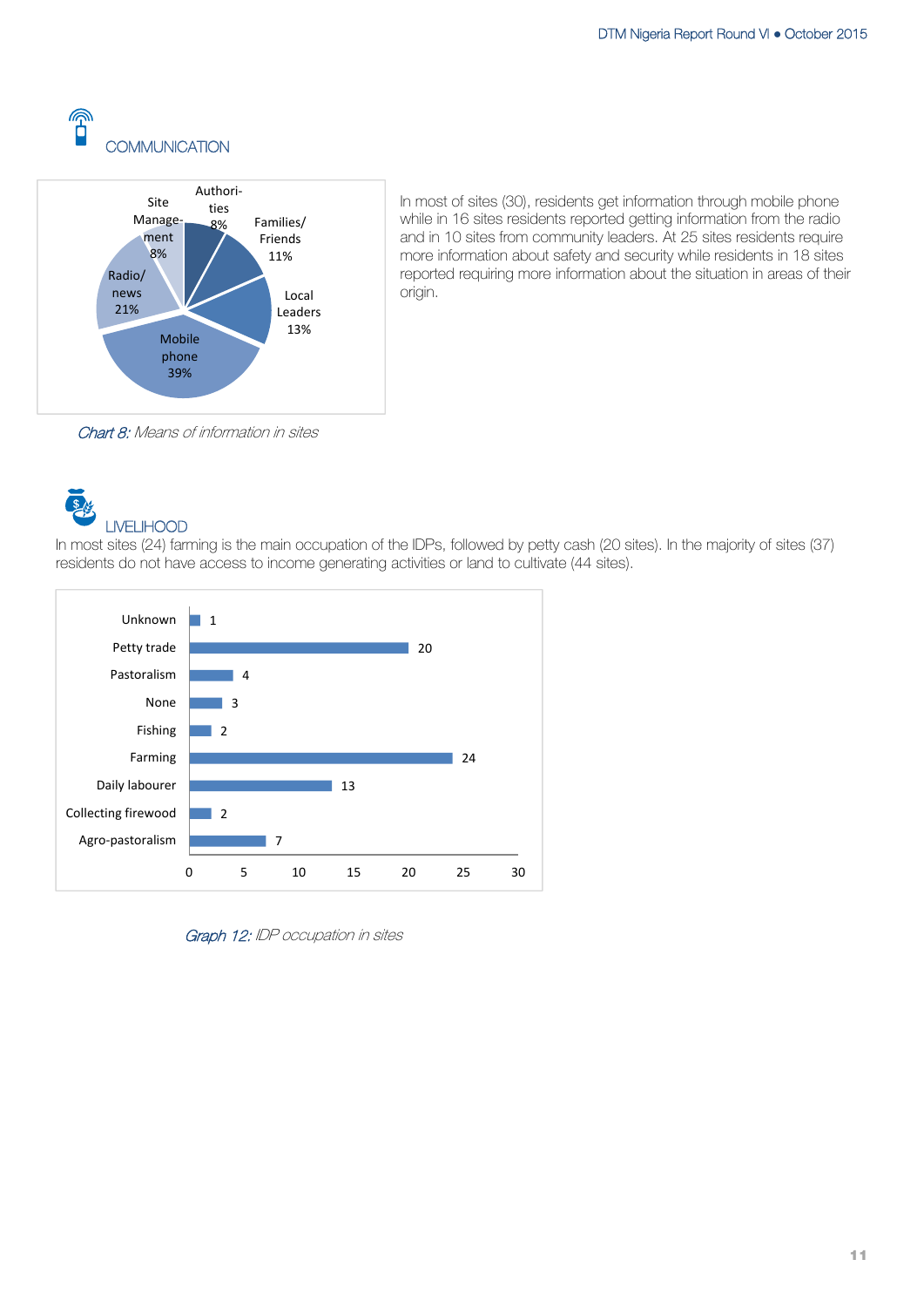



In most of sites (30), residents get information through mobile phone while in 16 sites residents reported getting information from the radio and in 10 sites from community leaders. At 25 sites residents require more information about safety and security while residents in 18 sites reported requiring more information about the situation in areas of their origin.

Chart 8: Means of information in sites

 $\overline{\mathbf{S}}$ LIVELIHOOD

In most sites (24) farming is the main occupation of the IDPs, followed by petty cash (20 sites). In the majority of sites (37) residents do not have access to income generating activities or land to cultivate (44 sites).



Graph 12: IDP occupation in sites